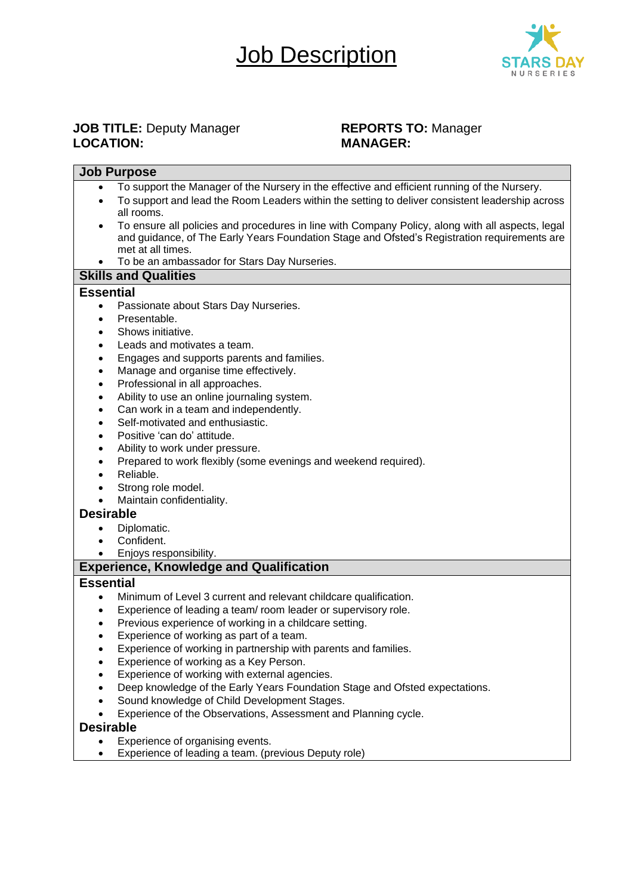# **Job Description**



# **JOB TITLE:** Deputy Manager **REPORTS TO:** Manager **LOCATION: MANAGER:**

| <b>Job Purpose</b>                                                 |                                                                                                  |  |  |  |
|--------------------------------------------------------------------|--------------------------------------------------------------------------------------------------|--|--|--|
|                                                                    | To support the Manager of the Nursery in the effective and efficient running of the Nursery.     |  |  |  |
| ٠                                                                  | To support and lead the Room Leaders within the setting to deliver consistent leadership across  |  |  |  |
|                                                                    | all rooms.                                                                                       |  |  |  |
|                                                                    | To ensure all policies and procedures in line with Company Policy, along with all aspects, legal |  |  |  |
|                                                                    | and guidance, of The Early Years Foundation Stage and Ofsted's Registration requirements are     |  |  |  |
|                                                                    | met at all times.                                                                                |  |  |  |
|                                                                    | To be an ambassador for Stars Day Nurseries.                                                     |  |  |  |
| <b>Skills and Qualities</b>                                        |                                                                                                  |  |  |  |
| <b>Essential</b>                                                   |                                                                                                  |  |  |  |
| $\bullet$                                                          | Passionate about Stars Day Nurseries.                                                            |  |  |  |
|                                                                    | Presentable.                                                                                     |  |  |  |
|                                                                    | Shows initiative.                                                                                |  |  |  |
|                                                                    | Leads and motivates a team.                                                                      |  |  |  |
| $\bullet$                                                          | Engages and supports parents and families.                                                       |  |  |  |
| $\bullet$                                                          | Manage and organise time effectively.                                                            |  |  |  |
| $\bullet$                                                          | Professional in all approaches.                                                                  |  |  |  |
| $\bullet$                                                          | Ability to use an online journaling system.                                                      |  |  |  |
| $\bullet$                                                          | Can work in a team and independently.                                                            |  |  |  |
| $\bullet$                                                          | Self-motivated and enthusiastic.                                                                 |  |  |  |
| $\bullet$                                                          | Positive 'can do' attitude.                                                                      |  |  |  |
| $\bullet$                                                          | Ability to work under pressure.                                                                  |  |  |  |
|                                                                    | Prepared to work flexibly (some evenings and weekend required).                                  |  |  |  |
|                                                                    | Reliable.                                                                                        |  |  |  |
| $\bullet$                                                          | Strong role model.                                                                               |  |  |  |
| $\bullet$                                                          | Maintain confidentiality.                                                                        |  |  |  |
| <b>Desirable</b>                                                   |                                                                                                  |  |  |  |
|                                                                    |                                                                                                  |  |  |  |
|                                                                    | Diplomatic.<br>Confident.                                                                        |  |  |  |
|                                                                    | Enjoys responsibility.                                                                           |  |  |  |
|                                                                    |                                                                                                  |  |  |  |
| <b>Experience, Knowledge and Qualification</b><br><b>Essential</b> |                                                                                                  |  |  |  |
|                                                                    |                                                                                                  |  |  |  |
| $\bullet$                                                          | Minimum of Level 3 current and relevant childcare qualification.                                 |  |  |  |
| ٠                                                                  | Experience of leading a team/ room leader or supervisory role.                                   |  |  |  |
|                                                                    | Previous experience of working in a childcare setting.                                           |  |  |  |
| $\bullet$                                                          | Experience of working as part of a team.                                                         |  |  |  |
|                                                                    | Experience of working in partnership with parents and families.                                  |  |  |  |
|                                                                    | Experience of working as a Key Person.                                                           |  |  |  |
|                                                                    | Experience of working with external agencies.                                                    |  |  |  |
|                                                                    | Deep knowledge of the Early Years Foundation Stage and Ofsted expectations.                      |  |  |  |
|                                                                    | Sound knowledge of Child Development Stages.                                                     |  |  |  |
|                                                                    | Experience of the Observations, Assessment and Planning cycle.                                   |  |  |  |
| <b>Desirable</b>                                                   |                                                                                                  |  |  |  |
|                                                                    | Experience of organising events.                                                                 |  |  |  |
|                                                                    | Experience of leading a team. (previous Deputy role)                                             |  |  |  |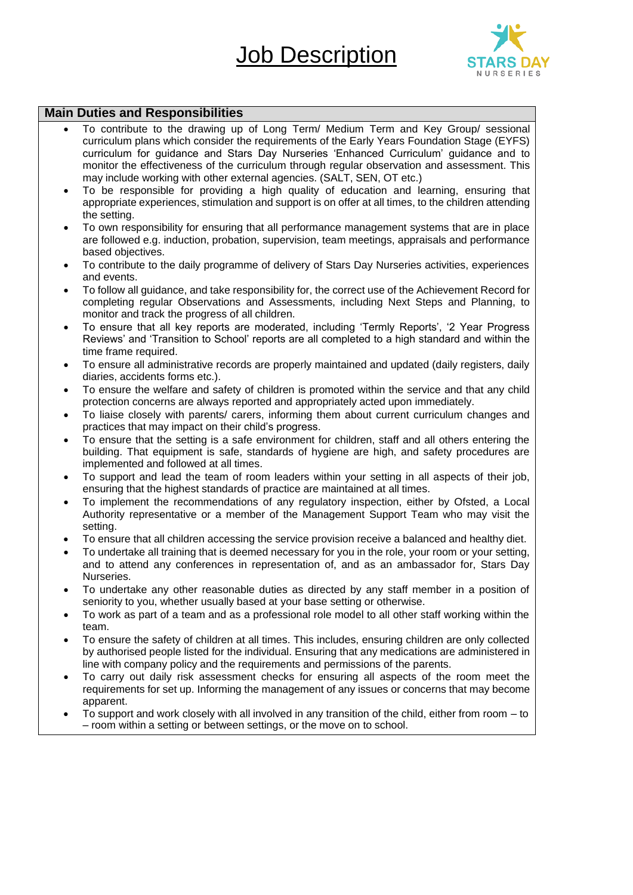Job Description



### **Main Duties and Responsibilities**

- To contribute to the drawing up of Long Term/ Medium Term and Key Group/ sessional curriculum plans which consider the requirements of the Early Years Foundation Stage (EYFS) curriculum for guidance and Stars Day Nurseries 'Enhanced Curriculum' guidance and to monitor the effectiveness of the curriculum through regular observation and assessment. This may include working with other external agencies. (SALT, SEN, OT etc.)
- To be responsible for providing a high quality of education and learning, ensuring that appropriate experiences, stimulation and support is on offer at all times, to the children attending the setting.
- To own responsibility for ensuring that all performance management systems that are in place are followed e.g. induction, probation, supervision, team meetings, appraisals and performance based objectives.
- To contribute to the daily programme of delivery of Stars Day Nurseries activities, experiences and events.
- To follow all guidance, and take responsibility for, the correct use of the Achievement Record for completing regular Observations and Assessments, including Next Steps and Planning, to monitor and track the progress of all children.
- To ensure that all key reports are moderated, including 'Termly Reports', '2 Year Progress Reviews' and 'Transition to School' reports are all completed to a high standard and within the time frame required.
- To ensure all administrative records are properly maintained and updated (daily registers, daily diaries, accidents forms etc.).
- To ensure the welfare and safety of children is promoted within the service and that any child protection concerns are always reported and appropriately acted upon immediately.
- To liaise closely with parents/ carers, informing them about current curriculum changes and practices that may impact on their child's progress.
- To ensure that the setting is a safe environment for children, staff and all others entering the building. That equipment is safe, standards of hygiene are high, and safety procedures are implemented and followed at all times.
- To support and lead the team of room leaders within your setting in all aspects of their job, ensuring that the highest standards of practice are maintained at all times.
- To implement the recommendations of any regulatory inspection, either by Ofsted, a Local Authority representative or a member of the Management Support Team who may visit the setting.
- To ensure that all children accessing the service provision receive a balanced and healthy diet.
- To undertake all training that is deemed necessary for you in the role, your room or your setting, and to attend any conferences in representation of, and as an ambassador for, Stars Day Nurseries.
- To undertake any other reasonable duties as directed by any staff member in a position of seniority to you, whether usually based at your base setting or otherwise.
- To work as part of a team and as a professional role model to all other staff working within the team.
- To ensure the safety of children at all times. This includes, ensuring children are only collected by authorised people listed for the individual. Ensuring that any medications are administered in line with company policy and the requirements and permissions of the parents.
- To carry out daily risk assessment checks for ensuring all aspects of the room meet the requirements for set up. Informing the management of any issues or concerns that may become apparent.
- To support and work closely with all involved in any transition of the child, either from room to – room within a setting or between settings, or the move on to school.